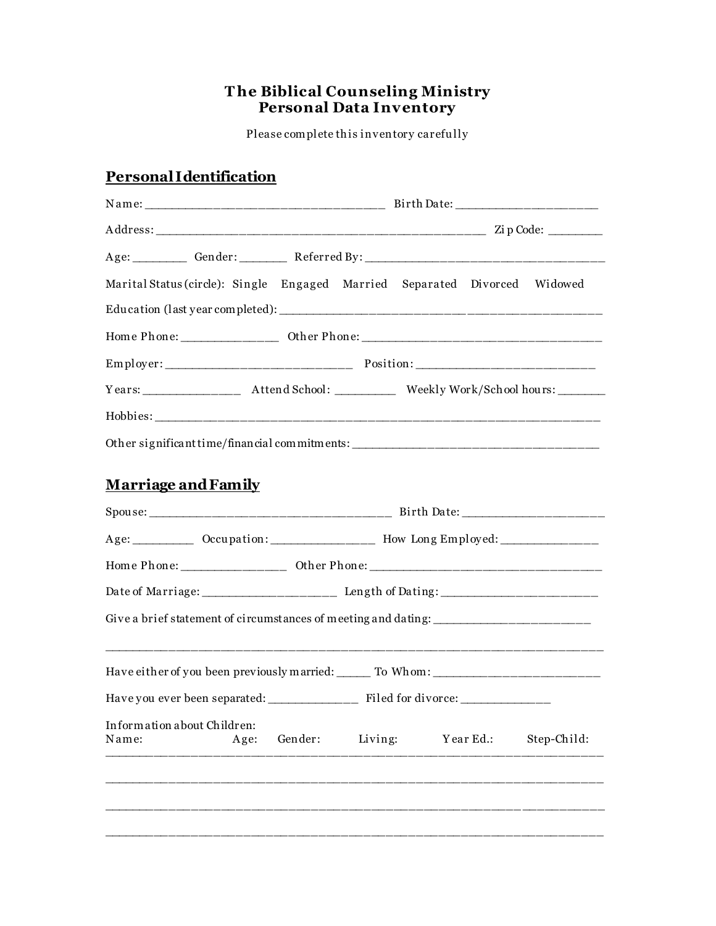# The Biblical Counseling Ministry<br>Personal Data Inventory

Please complete this inventory carefully

## Personal I dentification

| Age: Gender: Referred By: 2000 Manual Manual Manual Manual Manual Manual Manual Manual Manual Manual Manual Ma |      |         |         |  |           |             |  |
|----------------------------------------------------------------------------------------------------------------|------|---------|---------|--|-----------|-------------|--|
| Marital Status (circle): Single Engaged Married Separated Divorced Widowed                                     |      |         |         |  |           |             |  |
|                                                                                                                |      |         |         |  |           |             |  |
|                                                                                                                |      |         |         |  |           |             |  |
|                                                                                                                |      |         |         |  |           |             |  |
|                                                                                                                |      |         |         |  |           |             |  |
|                                                                                                                |      |         |         |  |           |             |  |
| Other significant time/financial commitments: __________________________________                               |      |         |         |  |           |             |  |
|                                                                                                                |      |         |         |  |           |             |  |
| <b>Marriage and Family</b>                                                                                     |      |         |         |  |           |             |  |
|                                                                                                                |      |         |         |  |           |             |  |
| Age: ___________ Occupation: _________________ How Long Employed: ______________                               |      |         |         |  |           |             |  |
|                                                                                                                |      |         |         |  |           |             |  |
|                                                                                                                |      |         |         |  |           |             |  |
| Give a brief statement of circumstances of meeting and dating: _______________________                         |      |         |         |  |           |             |  |
|                                                                                                                |      |         |         |  |           |             |  |
| Have either of you been previously married: ______ To Whom: _____________________                              |      |         |         |  |           |             |  |
|                                                                                                                |      |         |         |  |           |             |  |
| Information about Children:<br>Name:                                                                           | Age: | Gender: | Living: |  | Year Ed.: | Step-Child: |  |
|                                                                                                                |      |         |         |  |           |             |  |
|                                                                                                                |      |         |         |  |           |             |  |
|                                                                                                                |      |         |         |  |           |             |  |
|                                                                                                                |      |         |         |  |           |             |  |
|                                                                                                                |      |         |         |  |           |             |  |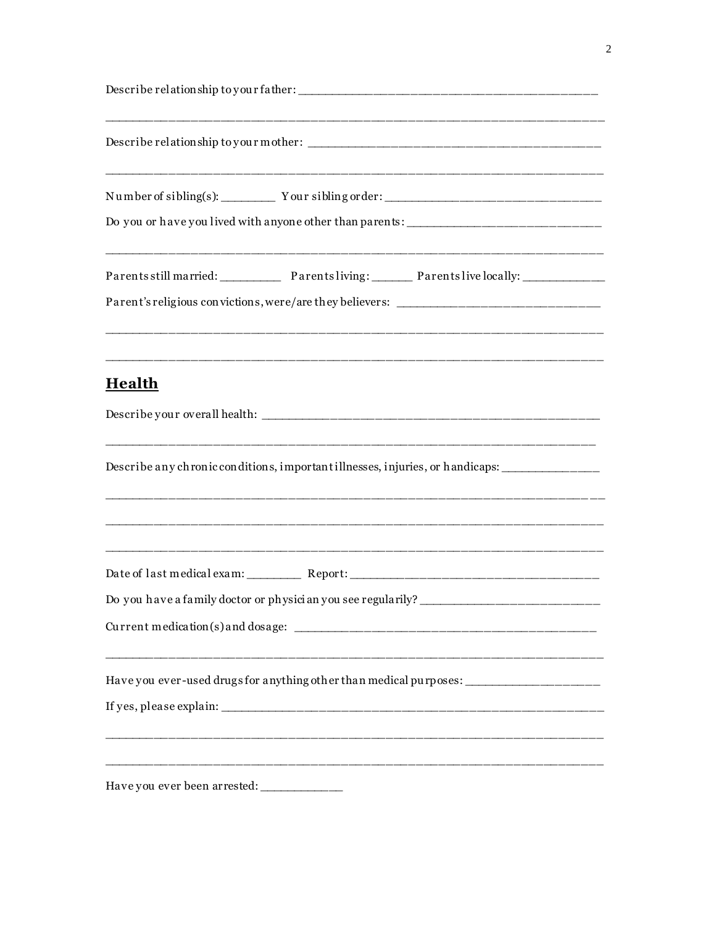| Do you or have you lived with anyone other than parents: ________________________                                                                                                                                                                                                              |
|------------------------------------------------------------------------------------------------------------------------------------------------------------------------------------------------------------------------------------------------------------------------------------------------|
| <u> 1999 - Johann Harry Harry Harry Harry Harry Harry Harry Harry Harry Harry Harry Harry Harry Harry Harry Harry</u><br>Parents still married: Parents living: Parents live locally: ___________________<br>Parent's religious convictions, were/are they believers: ________________________ |
| <u>Health</u>                                                                                                                                                                                                                                                                                  |
| Describe any chronic conditions, important illnesses, injuries, or handicaps:                                                                                                                                                                                                                  |
| Do you have a family doctor or physician you see regularily?                                                                                                                                                                                                                                   |
| Have you ever-used drugs for anything other than medical purposes: ___________________                                                                                                                                                                                                         |
| Have you ever been arrested: ______________                                                                                                                                                                                                                                                    |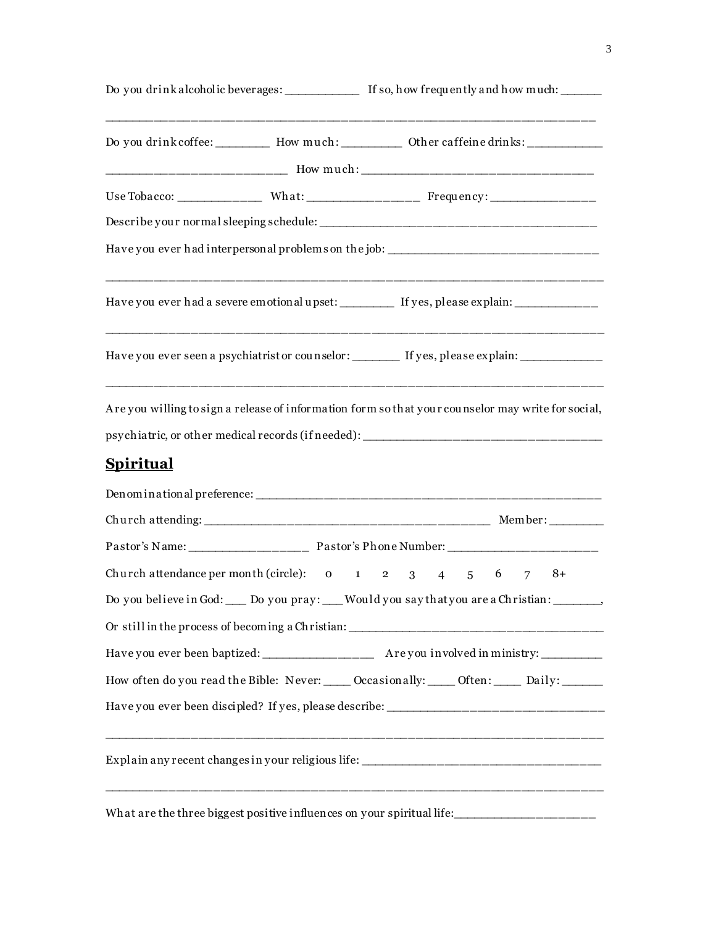|                  |  | Do you drink alcoholic beverages: ______________ If so, how frequently and how much: ______                                                                                             |  |  |  |
|------------------|--|-----------------------------------------------------------------------------------------------------------------------------------------------------------------------------------------|--|--|--|
|                  |  | Do you drink coffee: ___________ How much: __________ Other caffeine drinks: ___________                                                                                                |  |  |  |
|                  |  |                                                                                                                                                                                         |  |  |  |
|                  |  | Use Tobacco: __________________ What: _______________________ Frequency: __________________________                                                                                     |  |  |  |
|                  |  |                                                                                                                                                                                         |  |  |  |
|                  |  | Have you ever had interpersonal problems on the job: ____________________________                                                                                                       |  |  |  |
|                  |  | Have you ever had a severe emotional upset: _________ If yes, please explain: ____________                                                                                              |  |  |  |
|                  |  | Have you ever seen a psychiatrist or counselor: _______ If yes, please explain: ____________                                                                                            |  |  |  |
| <u>Spiritual</u> |  | Are you willing to sign a release of information form so that your counselor may write for social,<br>psychiatric, or other medical records (if needed): ______________________________ |  |  |  |
|                  |  |                                                                                                                                                                                         |  |  |  |
|                  |  |                                                                                                                                                                                         |  |  |  |
|                  |  |                                                                                                                                                                                         |  |  |  |
|                  |  | Church attendance per month (circle): $\qquad 0 \qquad 1 \qquad 2 \qquad 3 \qquad 4 \qquad 5 \qquad 6$<br>$8+$<br>7                                                                     |  |  |  |
|                  |  | Do you believe in God: ____ Do you pray: ___Would you say that you are a Christian:                                                                                                     |  |  |  |
|                  |  | Or still in the process of becoming a Christian:                                                                                                                                        |  |  |  |
|                  |  |                                                                                                                                                                                         |  |  |  |
|                  |  | How often do you read the Bible: Never: ____ Occasionally: ____ Often: ____ Daily: _____                                                                                                |  |  |  |
|                  |  |                                                                                                                                                                                         |  |  |  |
|                  |  | <u> 1999 - Johann Harry Harry Harry Harry Harry Harry Harry Harry Harry Harry Harry Harry Harry Harry Harry Harry</u>                                                                   |  |  |  |
|                  |  | What are the three biggest positive influences on your spiritual life: ______________________                                                                                           |  |  |  |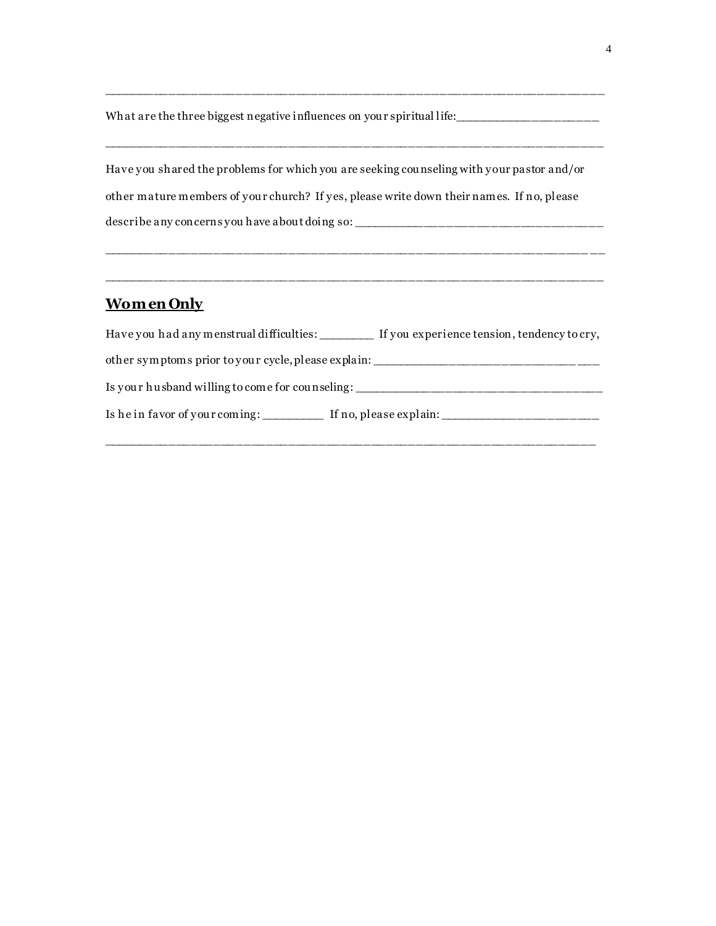What are the three biggest negative influences on you r spiritual life:\_\_\_\_\_\_\_\_\_\_\_\_\_\_\_\_\_\_\_\_

\_\_\_\_\_\_\_\_\_\_\_\_\_\_\_\_\_\_\_\_\_\_\_\_\_\_\_\_\_\_\_\_\_\_\_\_\_\_\_\_\_\_\_\_\_\_\_\_\_\_\_\_\_\_\_\_\_\_\_\_\_\_\_\_\_\_\_

\_\_\_\_\_\_\_\_\_\_\_\_\_\_\_\_\_\_\_\_\_\_\_\_\_\_\_\_\_\_\_\_\_\_\_\_\_\_\_\_\_\_\_\_\_\_\_\_\_\_\_\_\_\_\_\_\_\_\_\_\_\_\_\_\_\_\_

Have you shared the problems for which you are seeking cou nseling with your pastor and/or other mature members of you r church? If yes, please write down their names. If no, please describe any concerns you have abou t doing so: \_\_\_\_\_\_\_\_\_\_\_\_\_\_\_\_\_\_\_\_\_\_\_\_\_\_\_\_\_\_\_\_\_\_

 $\mathcal{L}_\text{max} = \mathcal{L}_\text{max} = \mathcal{L}_\text{max} = \mathcal{L}_\text{max} = \mathcal{L}_\text{max} = \mathcal{L}_\text{max} = \mathcal{L}_\text{max} = \mathcal{L}_\text{max} = \mathcal{L}_\text{max}$ 

#### **Wom en Only**

| Have you had any menstrual difficulties:            | If you experience tension, tendency to cry, |  |  |  |  |
|-----------------------------------------------------|---------------------------------------------|--|--|--|--|
| other symptoms prior to your cycle, please explain: |                                             |  |  |  |  |
| Is your husband willing to come for counseling:     |                                             |  |  |  |  |
| Is he in favor of your coming:                      | If no, please explain: $\sqrt{\frac{2}{n}}$ |  |  |  |  |

\_\_\_\_\_\_\_\_\_\_\_\_\_\_\_\_\_\_\_\_\_\_\_\_\_\_\_\_\_\_\_\_\_\_\_\_\_\_\_\_\_\_\_\_\_\_\_\_\_\_\_\_\_\_\_\_\_\_\_\_\_\_\_\_\_\_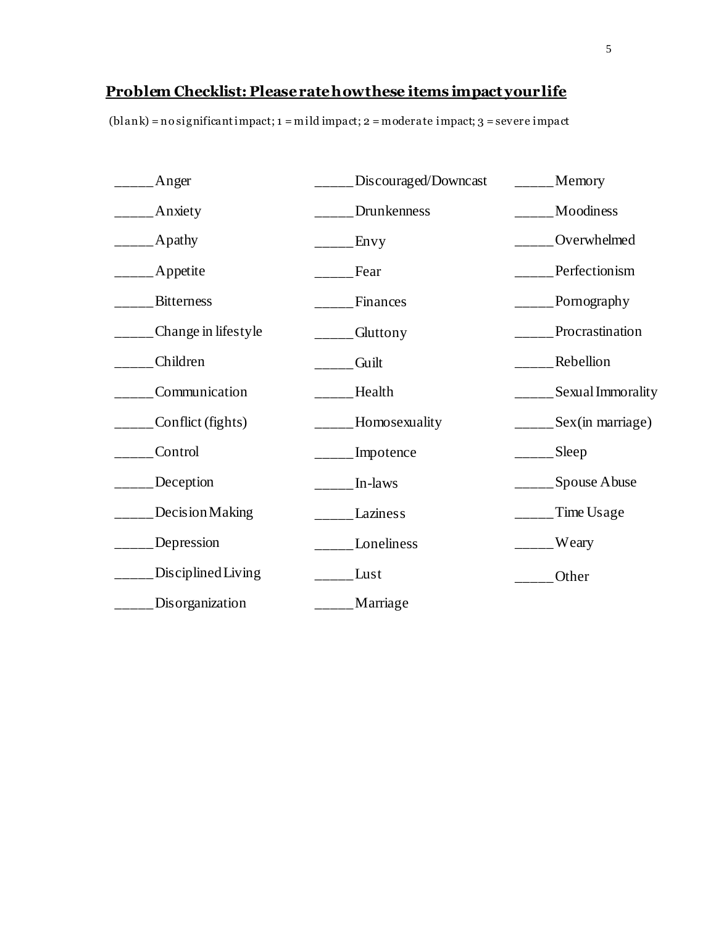### **Problem Checklist: Please rate how these items impact your life**

(blank) = no significant impact; 1 = mild impact; 2 = moderate impact; 3 = severe impact

| Anger               | Discouraged/Downcast | Memory            |
|---------------------|----------------------|-------------------|
| Anxiety             | Drunkenness          | Moodiness         |
| Apathy              | Envy                 | Overwhelmed       |
| Appetite            | Fear                 | Perfectionism     |
| <b>Bitterness</b>   | Finances             | Pornography       |
| Change in lifestyle | Gluttony             | Procrastination   |
| Children            | Guilt                | Rebellion         |
| Communication       | Health               | Sexual Immorality |
| Conflict (fights)   | Homosexuality        | Sex(in marriage)  |
| Control             | Impotence            | Sleep             |
| Deception           | In-laws              | Spouse Abuse      |
| Decision Making     | Laziness             | Time Usage        |
| Depression          | Loneliness           | Weary             |
| Disciplined Living  | Lust                 | Other             |
| Disorganization     | Marriage             |                   |